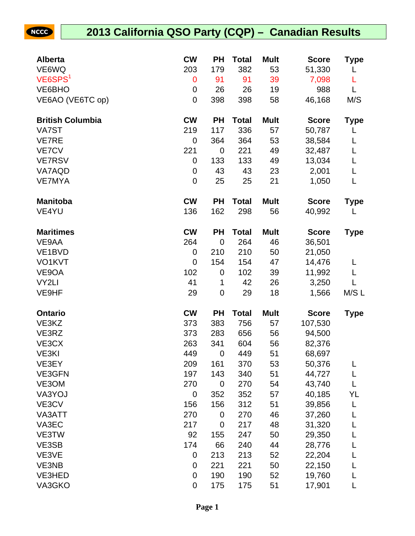## **2013 California QSO Party (CQP) – Canadian Results**

NCCC

| <b>Alberta</b>          | <b>CW</b>        | <b>PH</b>   | <b>Total</b> | <b>Mult</b> | <b>Score</b> | Type        |
|-------------------------|------------------|-------------|--------------|-------------|--------------|-------------|
| VE6WQ                   | 203              | 179         | 382          | 53          | 51,330       | L           |
| VE6SPS <sup>1</sup>     | $\mathbf 0$      | 91          | 91           | 39          | 7,098        | L           |
| VE6BHO                  | 0                | 26          | 26           | 19          | 988          | L           |
| VE6AO (VE6TC op)        | $\mathbf 0$      | 398         | 398          | 58          | 46,168       | M/S         |
| <b>British Columbia</b> | <b>CW</b>        | <b>PH</b>   | <b>Total</b> | <b>Mult</b> | <b>Score</b> | <b>Type</b> |
| VA7ST                   | 219              | 117         | 336          | 57          | 50,787       |             |
| <b>VE7RE</b>            | 0                | 364         | 364          | 53          | 38,584       | L           |
| <b>VE7CV</b>            | 221              | $\mathbf 0$ | 221          | 49          | 32,487       | L           |
| <b>VE7RSV</b>           | 0                | 133         | 133          | 49          | 13,034       | L           |
| VA7AQD                  | 0                | 43          | 43           | 23          | 2,001        | L           |
| <b>VE7MYA</b>           | $\boldsymbol{0}$ | 25          | 25           | 21          | 1,050        | L           |
| <b>Manitoba</b>         | <b>CW</b>        | <b>PH</b>   | <b>Total</b> | <b>Mult</b> | <b>Score</b> | <b>Type</b> |
| VE4YU                   | 136              | 162         | 298          | 56          | 40,992       | L           |
| <b>Maritimes</b>        | <b>CW</b>        | <b>PH</b>   | <b>Total</b> | <b>Mult</b> | <b>Score</b> | <b>Type</b> |
| VE9AA                   | 264              | $\mathbf 0$ | 264          | 46          | 36,501       |             |
| VE1BVD                  | 0                | 210         | 210          | 50          | 21,050       |             |
| VO1KVT                  | $\mathbf 0$      | 154         | 154          | 47          | 14,476       | L           |
| VE9OA                   | 102              | $\mathbf 0$ | 102          | 39          | 11,992       | L           |
| VY2LI                   | 41               | 1           | 42           | 26          | 3,250        | L           |
| VE9HF                   | 29               | 0           | 29           | 18          | 1,566        | M/S L       |
| Ontario                 | <b>CW</b>        | <b>PH</b>   | <b>Total</b> | <b>Mult</b> | <b>Score</b> | <b>Type</b> |
| VE3KZ                   | 373              | 383         | 756          | 57          | 107,530      |             |
| VE3RZ                   | 373              | 283         | 656          | 56          | 94,500       |             |
| VE3CX                   | 263              | 341         | 604          | 56          | 82,376       |             |
| VE3KI                   | 449              | 0           | 449          | 51          | 68,697       |             |
| VE3EY                   | 209              | 161         | 370          | 53          | 50,376       | L           |
| VE3GFN                  | 197              | 143         | 340          | 51          | 44,727       | L           |
| VE3OM                   | 270              | $\mathbf 0$ | 270          | 54          | 43,740       | L           |
| VA3YOJ                  | 0                | 352         | 352          | 57          | 40,185       | YL          |
| VE3CV                   | 156              | 156         | 312          | 51          | 39,856       | L           |
| VA3ATT                  | 270              | 0           | 270          | 46          | 37,260       | L           |
| VA3EC                   | 217              | $\mathbf 0$ | 217          | 48          | 31,320       | L           |
| VE3TW                   | 92               | 155         | 247          | 50          | 29,350       | L           |
| VE3SB                   | 174              | 66          | 240          | 44          | 28,776       | L           |
| VE3VE                   | 0                | 213         | 213          | 52          | 22,204       | L           |
| VE3NB                   | 0                | 221         | 221          | 50          | 22,150       | L           |
| VE3HED                  | $\boldsymbol{0}$ | 190         | 190          | 52          | 19,760       | L           |
| VA3GKO                  | $\pmb{0}$        | 175         | 175          | 51          | 17,901       | L           |